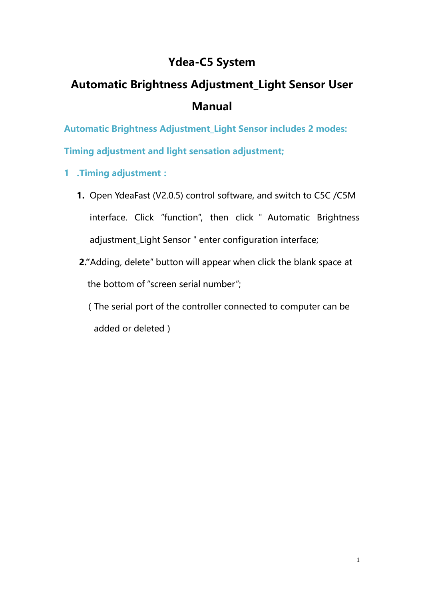## **Ydea-C5 System**

# **Automatic Brightness Adjustment\_Light Sensor User Manual**

**Automatic Brightness Adjustment\_Light Sensor includes 2 modes:** 

**Timing adjustment and light sensation adjustment;**

- **1 .Timing adjustment:**
	- **1.** Open YdeaFast (V2.0.5) control software, and switch to C5C /C5M interface. Click "function", then click " Automatic Brightness adjustment\_Light Sensor " enter configuration interface;
	- **2."**Adding, delete" button will appear when click the blank space at the bottom of "screen serial number";

(The serial port of the controller connected to computer can be added or deleted)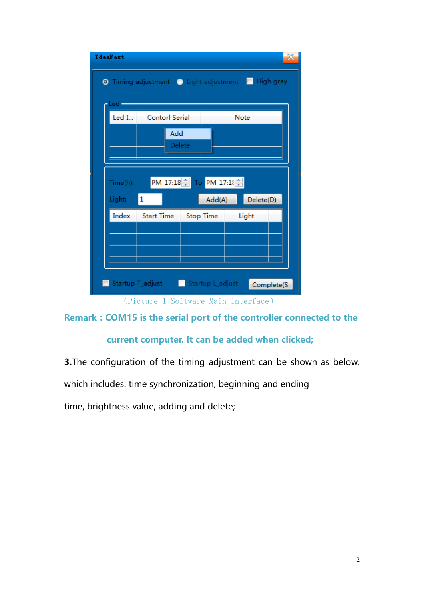| $-\text{Led}$ |                      |                        |           |
|---------------|----------------------|------------------------|-----------|
|               | Led I Contorl Serial |                        | Note      |
|               | Add                  |                        |           |
|               |                      | Delete                 |           |
|               |                      |                        |           |
| Time(h):      |                      | PM 17:18 To PM 17:18 → |           |
| Light:        | $\mathbf{1}$         | Add(A)                 | Delete(D) |
| Index         | <b>Start Time</b>    | Stop Time              | Light     |
|               |                      |                        |           |
|               |                      |                        |           |
|               |                      |                        |           |

### **Remark:COM15 is the serial port of the controller connected to the**

#### **current computer. It can be added when clicked;**

**3.**The configuration of the timing adjustment can be shown as below,

which includes: time synchronization, beginning and ending

time, brightness value, adding and delete;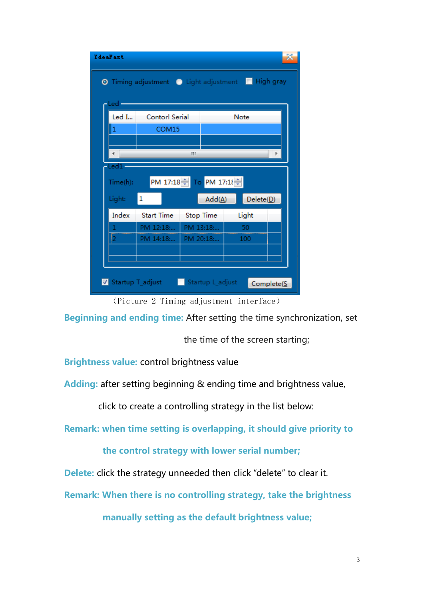| <b><i><u>IdeaFast</u></i></b>      |                                                    |           |                      |       |            |  |  |  |  |  |
|------------------------------------|----------------------------------------------------|-----------|----------------------|-------|------------|--|--|--|--|--|
|                                    | O Timing adjustment O Light adjustment I High gray |           |                      |       |            |  |  |  |  |  |
| -Led -                             |                                                    |           |                      |       |            |  |  |  |  |  |
| Led I                              | Contorl Serial                                     |           |                      |       |            |  |  |  |  |  |
| 1                                  | COM15                                              |           |                      |       |            |  |  |  |  |  |
|                                    |                                                    |           |                      |       |            |  |  |  |  |  |
| Ш<br>Led1-                         |                                                    |           |                      |       |            |  |  |  |  |  |
| PM 17:18 → To PM 17:18<br>Time(h): |                                                    |           |                      |       |            |  |  |  |  |  |
| Light:                             | 1                                                  |           | $Add(\underline{A})$ |       | Delete(D)  |  |  |  |  |  |
| Index                              | Start Time                                         |           | Stop Time            | Light |            |  |  |  |  |  |
|                                    | PM 12:18                                           |           | PM 13:18             | 50    |            |  |  |  |  |  |
|                                    | PM 14:18:                                          | PM 20:18: |                      | 100   |            |  |  |  |  |  |
|                                    |                                                    |           |                      |       |            |  |  |  |  |  |
|                                    | V Startup T_adjust   Startup L_adjust              |           |                      |       | Complete(S |  |  |  |  |  |

(Picture 2 Timing adjustment interface)

**Beginning and ending time:** After setting the time synchronization, set

the time of the screen starting;

**Brightness value:** control brightness value

**Adding:** after setting beginning & ending time and brightness value,

click to create a controlling strategy in the list below:

**Remark: when time setting is overlapping, it should give priority to** 

 **the control strategy with lower serial number;**

**Delete:** click the strategy unneeded then click "delete" to clear it.

**Remark: When there is no controlling strategy, take the brightness** 

 **manually setting as the default brightness value;**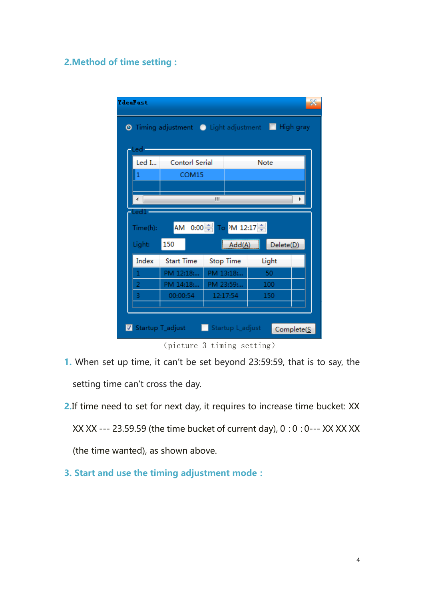#### **2.Method of time setting :**

| <b><i><u>IdeaFast</u></i></b>     |                                                    |           |                      |  |           |            |  |  |  |  |
|-----------------------------------|----------------------------------------------------|-----------|----------------------|--|-----------|------------|--|--|--|--|
|                                   | O Timing adjustment O Light adjustment I High gray |           |                      |  |           |            |  |  |  |  |
| Led-                              |                                                    |           |                      |  |           |            |  |  |  |  |
| Led I                             | Contorl Serial                                     |           | Note                 |  |           |            |  |  |  |  |
| 1                                 | COM <sub>15</sub>                                  |           |                      |  |           |            |  |  |  |  |
|                                   |                                                    |           |                      |  |           |            |  |  |  |  |
| Led1-                             |                                                    | Ш         |                      |  |           |            |  |  |  |  |
| AM 0:00 → To PM 12:17<br>Time(h): |                                                    |           |                      |  |           |            |  |  |  |  |
| Light:                            | 150                                                |           | $Add(\underline{A})$ |  | Delete(D) |            |  |  |  |  |
| Index                             | <b>Start Time</b>                                  | Stop Time |                      |  | Light     |            |  |  |  |  |
| 1                                 | PM 12:18:                                          |           | PM 13:18:            |  | 50        |            |  |  |  |  |
| 2                                 | PM 14:18                                           |           | PM 23:59:            |  | 100       |            |  |  |  |  |
| 3                                 | 00:00:54                                           | 12:17:54  |                      |  | 150       |            |  |  |  |  |
|                                   |                                                    |           |                      |  |           |            |  |  |  |  |
|                                   | Startup T_adjust                                   |           | Startup L_adjust     |  |           | Complete(S |  |  |  |  |

(picture 3 timing setting)

- **1.** When set up time, it can't be set beyond 23:59:59, that is to say, the setting time can't cross the day.
- **2.**If time need to set for next day, it requires to increase time bucket: XX XX XX --- 23.59.59 (the time bucket of current day), 0:0:0--- XX XX XX (the time wanted), as shown above.
- **3. Start and use the timing adjustment mode:**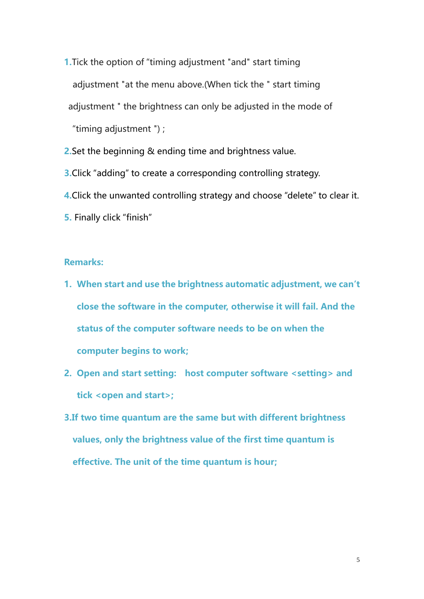- **1.**Tick the option of "timing adjustment "and" start timing adjustment "at the menu above.(When tick the " start timing adjustment " the brightness can only be adjusted in the mode of "timing adjustment ") ;
- **2.**Set the beginning & ending time and brightness value.
- **3.**Click "adding" to create a corresponding controlling strategy.
- **4.**Click the unwanted controlling strategy and choose "delete" to clear it.
- **5.** Finally click "finish"

#### **Remarks:**

- **1. When start and use the brightness automatic adjustment, we can't close the software in the computer, otherwise it will fail. And the status of the computer software needs to be on when the computer begins to work;**
- **2. Open and start setting: host computer software <setting> and tick <open and start>;**
- **3.If two time quantum are the same but with different brightness values, only the brightness value of the first time quantum is effective. The unit of the time quantum is hour;**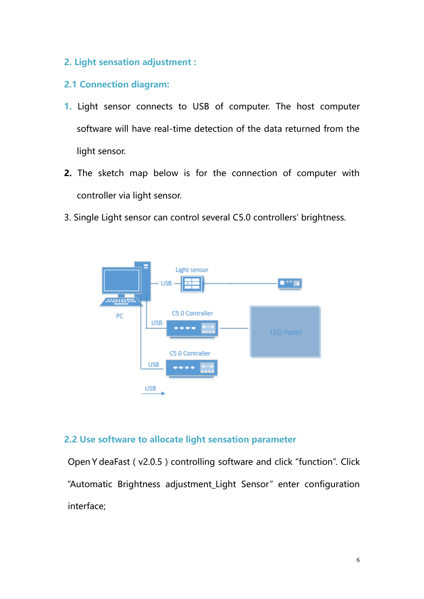**2. Light sensation adjustment :**

#### **2.1 Connection diagram:**

- **1.** Light sensor connects to USB of computer. The host computer software will have real-time detection of the data returned from the light sensor.
- **2.** The sketch map below is for the connection of computer with controller via light sensor.
- 3. Single Light sensor can control several C5.0 controllers' brightness.



#### **2.2 Use software to allocate light sensation parameter**

Open Y deaFast (v2.0.5) controlling software and click "function". Click "Automatic Brightness adjustment\_Light Sensor" enter configuration interface;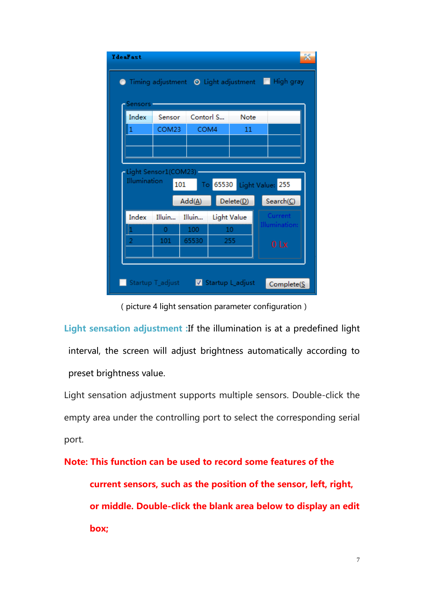|                |                       |                      |             | Timing adjustment O Light adjustment I High gray |  |
|----------------|-----------------------|----------------------|-------------|--------------------------------------------------|--|
| Sensors        |                       |                      |             |                                                  |  |
| Index          | Sensor                | Contorl S            | Note        |                                                  |  |
| 1              | COM23                 | COM4                 | 11          |                                                  |  |
|                |                       |                      |             |                                                  |  |
|                |                       |                      |             |                                                  |  |
|                |                       |                      |             |                                                  |  |
| Illumination   | -Light Sensor1(COM23) |                      |             |                                                  |  |
|                |                       | 101<br>To            |             | 65530 Light Value: 255                           |  |
|                |                       | $Add(\underline{A})$ | Delete(D)   | Search(C)                                        |  |
| Index          | Illuin                | Illuin               | Light Value | Current                                          |  |
| μ              | 0                     | 100                  | 10          | Illumination:                                    |  |
| $\overline{2}$ | 101                   | 65530                | 255         | 0 <sub>x</sub>                                   |  |
|                |                       |                      |             |                                                  |  |
|                |                       |                      |             |                                                  |  |

(picture 4 light sensation parameter configuration)

**Light sensation adjustment :**If the illumination is at a predefined light interval, the screen will adjust brightness automatically according to preset brightness value.

Light sensation adjustment supports multiple sensors. Double-click the empty area under the controlling port to select the corresponding serial port.

**Note: This function can be used to record some features of the current sensors, such as the position of the sensor, left, right, or middle. Double-click the blank area below to display an edit box;**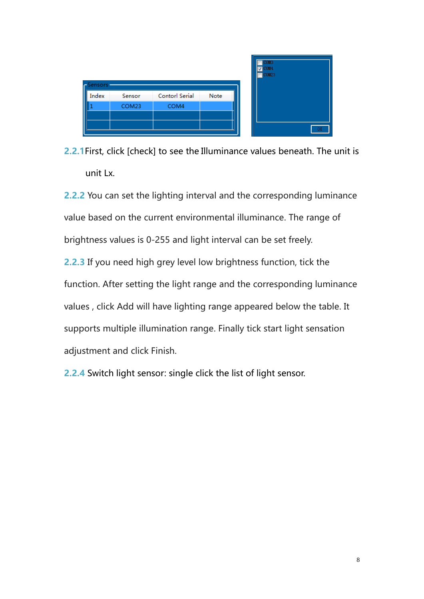| -Sensors |        |                |      |
|----------|--------|----------------|------|
| Index    | Sensor | Contorl Serial | Note |
|          | COM23  | COM4           |      |
|          |        |                |      |
|          |        |                |      |

**2.2.1**First, click [check] to see the Illuminance values beneath. The unit is unit Lx.

**2.2.2** You can set the lighting interval and the corresponding luminance value based on the current environmental illuminance. The range of brightness values is 0-255 and light interval can be set freely. **2.2.3** If you need high grey level low brightness function, tick the

function. After setting the light range and the corresponding luminance values , click Add will have lighting range appeared below the table. It supports multiple illumination range. Finally tick start light sensation adjustment and click Finish.

**2.2.4** Switch light sensor: single click the list of light sensor.